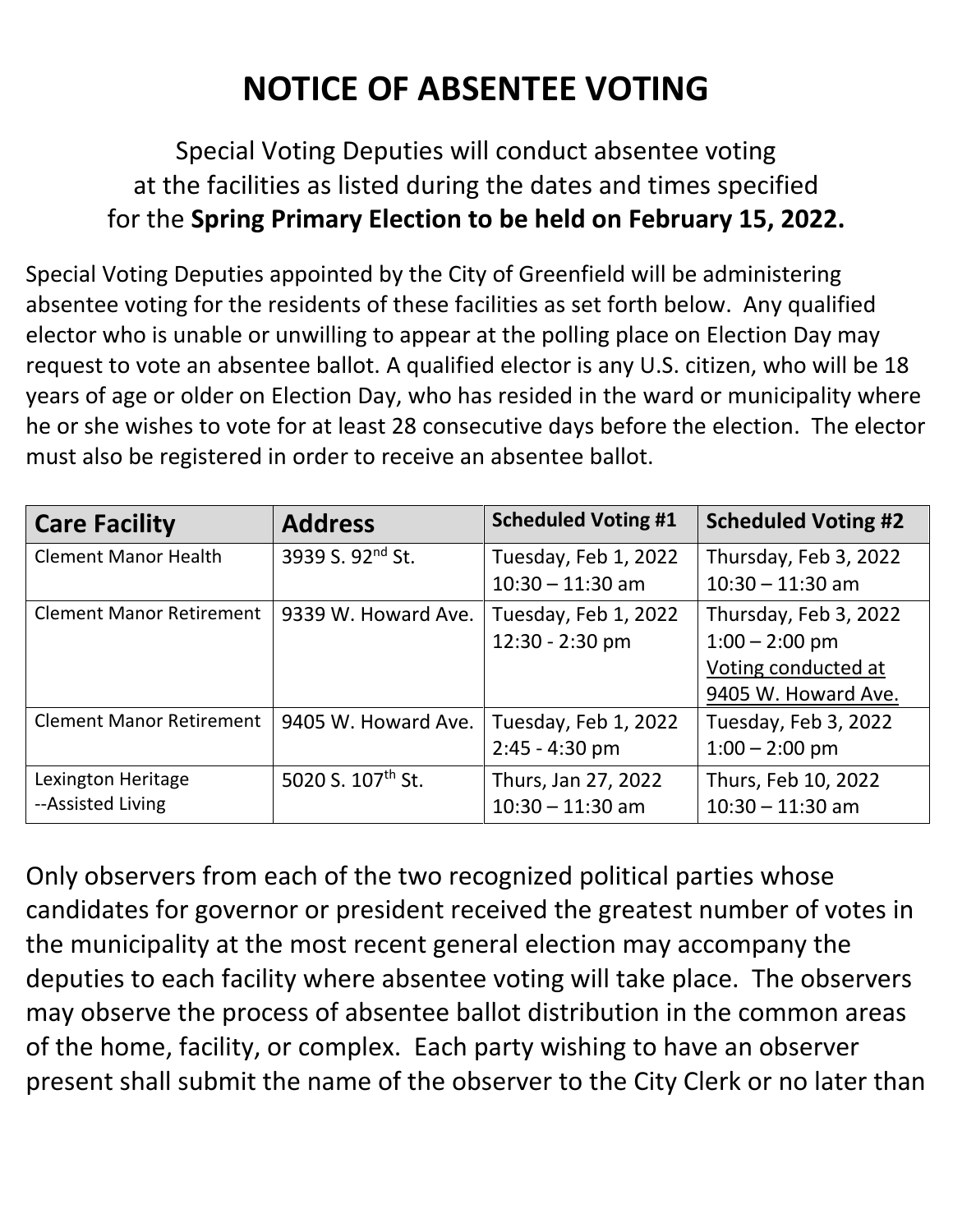## **NOTICE OF ABSENTEE VOTING**

## Special Voting Deputies will conduct absentee voting at the facilities as listed during the dates and times specified for the **Spring Primary Election to be held on February 15, 2022.**

Special Voting Deputies appointed by the City of Greenfield will be administering absentee voting for the residents of these facilities as set forth below. Any qualified elector who is unable or unwilling to appear at the polling place on Election Day may request to vote an absentee ballot. A qualified elector is any U.S. citizen, who will be 18 years of age or older on Election Day, who has resided in the ward or municipality where he or she wishes to vote for at least 28 consecutive days before the election. The elector must also be registered in order to receive an absentee ballot.

| <b>Care Facility</b>                    | <b>Address</b>                | <b>Scheduled Voting #1</b>                 | <b>Scheduled Voting #2</b>                                                              |
|-----------------------------------------|-------------------------------|--------------------------------------------|-----------------------------------------------------------------------------------------|
| <b>Clement Manor Health</b>             | 3939 S. 92nd St.              | Tuesday, Feb 1, 2022<br>$10:30 - 11:30$ am | Thursday, Feb 3, 2022<br>$10:30 - 11:30$ am                                             |
| <b>Clement Manor Retirement</b>         | 9339 W. Howard Ave.           | Tuesday, Feb 1, 2022<br>12:30 - 2:30 pm    | Thursday, Feb 3, 2022<br>$1:00 - 2:00$ pm<br>Voting conducted at<br>9405 W. Howard Ave. |
| <b>Clement Manor Retirement</b>         | 9405 W. Howard Ave.           | Tuesday, Feb 1, 2022<br>$2:45 - 4:30$ pm   | Tuesday, Feb 3, 2022<br>$1:00 - 2:00$ pm                                                |
| Lexington Heritage<br>--Assisted Living | 5020 S. 107 <sup>th</sup> St. | Thurs, Jan 27, 2022<br>$10:30 - 11:30$ am  | Thurs, Feb 10, 2022<br>$10:30 - 11:30$ am                                               |

Only observers from each of the two recognized political parties whose candidates for governor or president received the greatest number of votes in the municipality at the most recent general election may accompany the deputies to each facility where absentee voting will take place. The observers may observe the process of absentee ballot distribution in the common areas of the home, facility, or complex. Each party wishing to have an observer present shall submit the name of the observer to the City Clerk or no later than